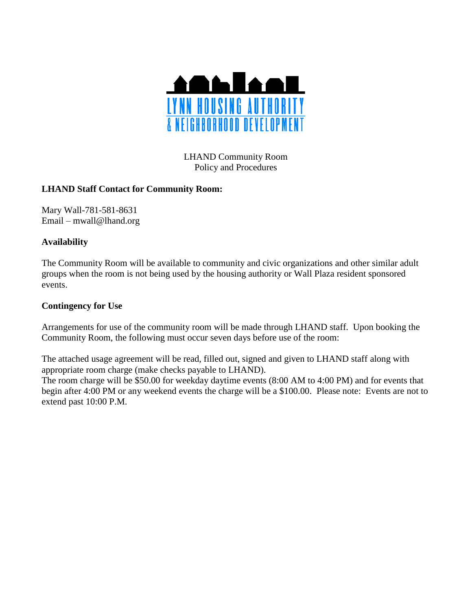

LHAND Community Room Policy and Procedures

## **LHAND Staff Contact for Community Room:**

Mary Wall-781-581-8631 Email – mwall@lhand.org

## **Availability**

The Community Room will be available to community and civic organizations and other similar adult groups when the room is not being used by the housing authority or Wall Plaza resident sponsored events.

## **Contingency for Use**

Arrangements for use of the community room will be made through LHAND staff. Upon booking the Community Room, the following must occur seven days before use of the room:

The attached usage agreement will be read, filled out, signed and given to LHAND staff along with appropriate room charge (make checks payable to LHAND).

The room charge will be \$50.00 for weekday daytime events (8:00 AM to 4:00 PM) and for events that begin after 4:00 PM or any weekend events the charge will be a \$100.00. Please note: Events are not to extend past 10:00 P.M.